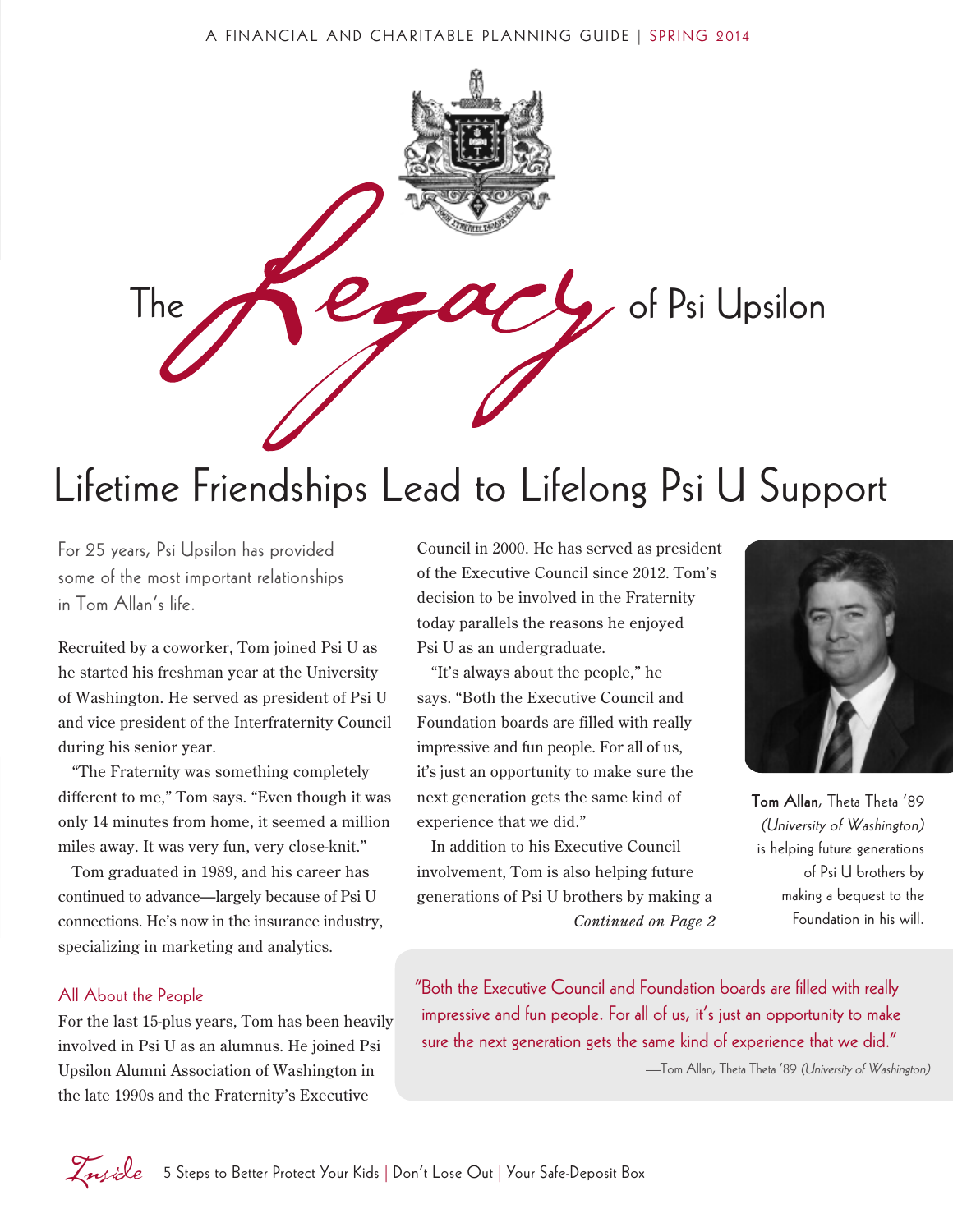

### Lifetime Friendships Lead to Lifelong Psi U Support

For 25 years, Psi Upsilon has provided some of the most important relationships in Tom Allan's life.

Recruited by a coworker, Tom joined Psi U as he started his freshman year at the University of Washington. He served as president of Psi U and vice president of the Interfraternity Council during his senior year.

"The Fraternity was something completely different to me," Tom says. "Even though it was only 14 minutes from home, it seemed a million miles away. It was very fun, very close-knit."

Tom graduated in 1989, and his career has continued to advance—largely because of Psi U connections. He's now in the insurance industry, specializing in marketing and analytics.

#### All About the People

For the last 15-plus years, Tom has been heavily involved in Psi U as an alumnus. He joined Psi Upsilon Alumni Association of Washington in the late 1990s and the Fraternity's Executive

Council in 2000. He has served as president of the Executive Council since 2012. Tom's decision to be involved in the Fraternity today parallels the reasons he enjoyed Psi U as an undergraduate.

"It's always about the people," he says. "Both the Executive Council and Foundation boards are filled with really impressive and fun people. For all of us, it's just an opportunity to make sure the next generation gets the same kind of experience that we did."

In addition to his Executive Council involvement, Tom is also helping future generations of Psi U brothers by making a *Continued on Page 2*



Tom Allan, Theta Theta '89 (University of Washington) is helping future generations of Psi U brothers by making a bequest to the Foundation in his will.

"Both the Executive Council and Foundation boards are filled with really impressive and fun people. For all of us, it's just an opportunity to make sure the next generation gets the same kind of experience that we did."

—Tom Allan, Theta Theta '89 (University of Washington)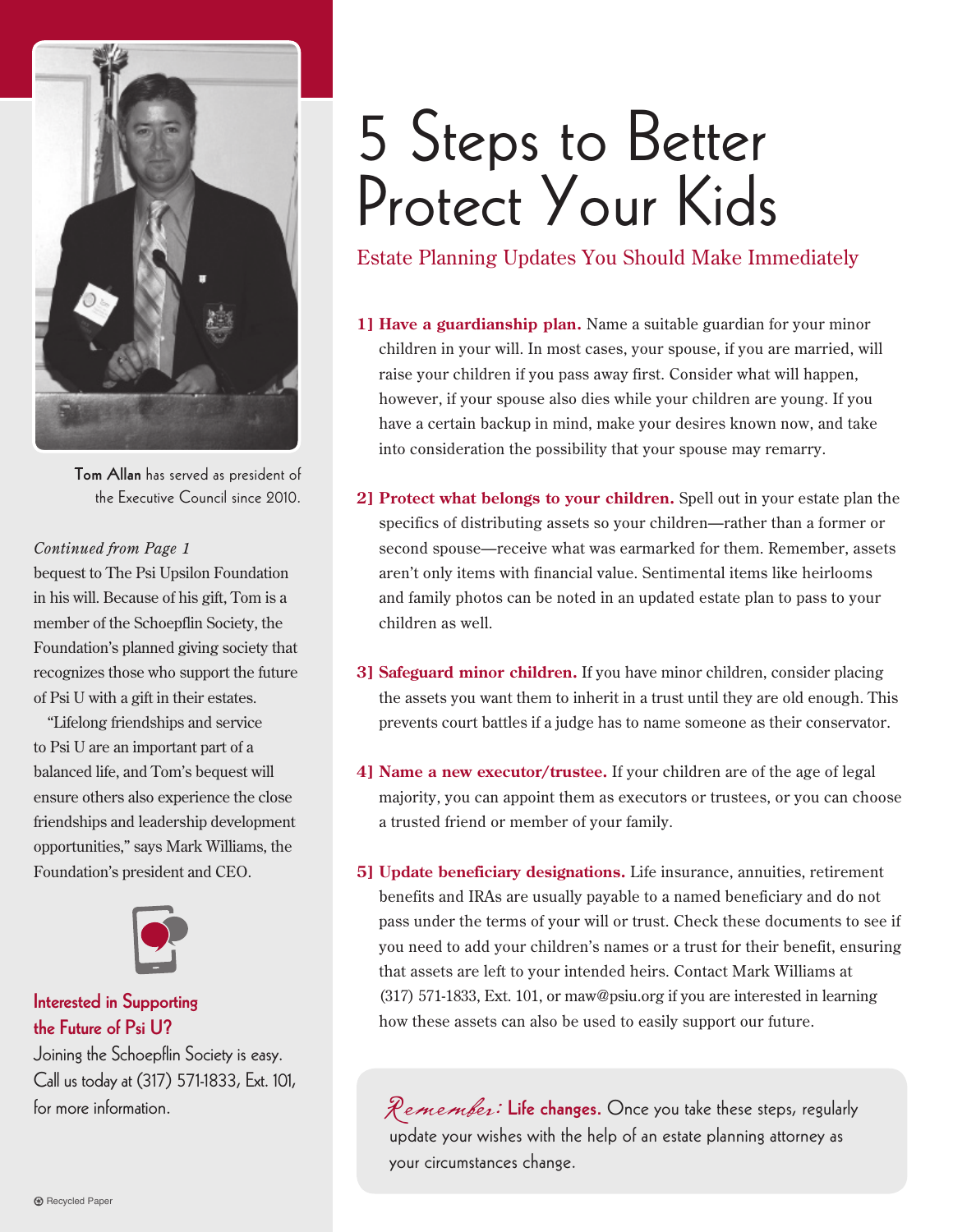

Tom Allan has served as president of the Executive Council since 2010.

#### *Continued from Page 1*

bequest to The Psi Upsilon Foundation in his will. Because of his gift, Tom is a member of the Schoepflin Society, the Foundation's planned giving society that recognizes those who support the future of Psi U with a gift in their estates.

"Lifelong friendships and service to Psi U are an important part of a balanced life, and Tom's bequest will ensure others also experience the close friendships and leadership development opportunities," says Mark Williams, the Foundation's president and CEO.



#### Interested in Supporting the Future of Psi U?

Joining the Schoepflin Society is easy. Call us today at (317) 571-1833, Ext. 101, for more information.

# 5 Steps to Better Protect Your Kids

Estate Planning Updates You Should Make Immediately

- **1] Have a guardianship plan.** Name a suitable guardian for your minor children in your will. In most cases, your spouse, if you are married, will raise your children if you pass away first. Consider what will happen, however, if your spouse also dies while your children are young. If you have a certain backup in mind, make your desires known now, and take into consideration the possibility that your spouse may remarry.
- **2] Protect what belongs to your children.** Spell out in your estate plan the specifics of distributing assets so your children—rather than a former or second spouse—receive what was earmarked for them. Remember, assets aren't only items with financial value. Sentimental items like heirlooms and family photos can be noted in an updated estate plan to pass to your children as well.
- **3] Safeguard minor children.** If you have minor children, consider placing the assets you want them to inherit in a trust until they are old enough. This prevents court battles if a judge has to name someone as their conservator.
- **4] Name a new executor/trustee.** If your children are of the age of legal majority, you can appoint them as executors or trustees, or you can choose a trusted friend or member of your family.
- **5] Update beneficiary designations.** Life insurance, annuities, retirement benefits and IRAs are usually payable to a named beneficiary and do not pass under the terms of your will or trust. Check these documents to see if you need to add your children's names or a trust for their benefit, ensuring that assets are left to your intended heirs. Contact Mark Williams at (317) 571-1833, Ext. 101, or maw@psiu.org if you are interested in learning how these assets can also be used to easily support our future.

Remember: Life changes. Once you take these steps, regularly update your wishes with the help of an estate planning attorney as your circumstances change.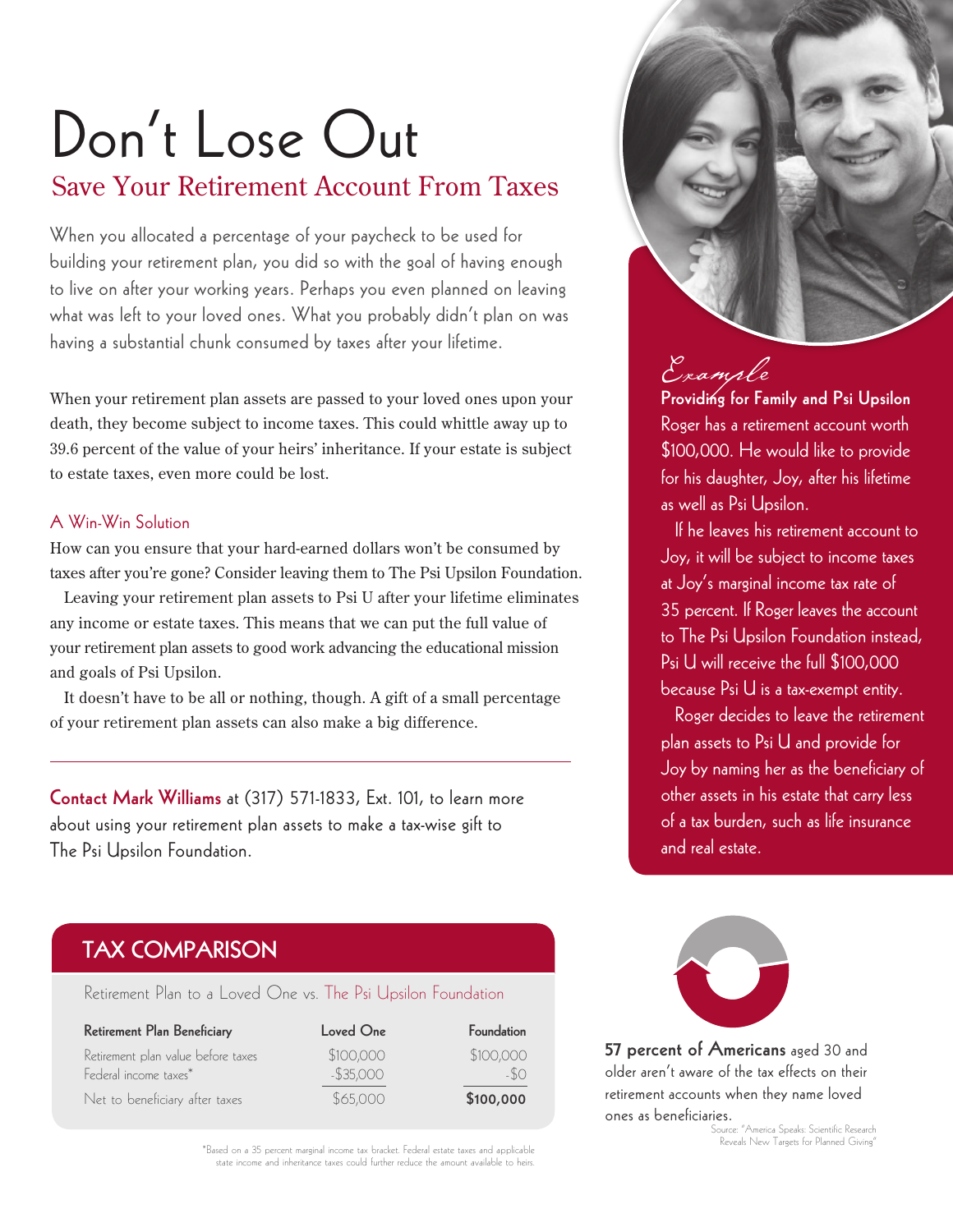### Don't Lose Out Save Your Retirement Account From Taxes

When you allocated a percentage of your paycheck to be used for building your retirement plan, you did so with the goal of having enough to live on after your working years. Perhaps you even planned on leaving what was left to your loved ones. What you probably didn't plan on was having a substantial chunk consumed by taxes after your lifetime.

When your retirement plan assets are passed to your loved ones upon your death, they become subject to income taxes. This could whittle away up to 39.6 percent of the value of your heirs' inheritance. If your estate is subject to estate taxes, even more could be lost.

#### A Win-Win Solution

How can you ensure that your hard-earned dollars won't be consumed by taxes after you're gone? Consider leaving them to The Psi Upsilon Foundation.

Leaving your retirement plan assets to Psi U after your lifetime eliminates any income or estate taxes. This means that we can put the full value of your retirement plan assets to good work advancing the educational mission and goals of Psi Upsilon.

It doesn't have to be all or nothing, though. A gift of a small percentage of your retirement plan assets can also make a big difference.

Contact Mark Williams at (317) 571-1833, Ext. 101, to learn more about using your retirement plan assets to make a tax-wise gift to The Psi Upsilon Foundation.

#### TAX COMPARISON

Retirement Plan to a Loved One vs. The Psi Upsilon Foundation

| Retirement Plan Beneficiary                                 | Loved One                 | Foundation         |
|-------------------------------------------------------------|---------------------------|--------------------|
| Retirement plan value before taxes<br>Federal income taxes* | \$100,000<br>$-$ \$35,000 | \$100,000<br>$-SO$ |
| Net to beneficiary after taxes                              | \$65,000                  | \$100,000          |

\*Based on a 35 percent marginal income tax bracket. Federal estate taxes and applicable state income and inheritance taxes could further reduce the amount available to heirs.



### Example

Providing for Family and Psi Upsilon Roger has a retirement account worth \$100,000. He would like to provide for his daughter, Joy, after his lifetime as well as Psi Upsilon.

If he leaves his retirement account to Joy, it will be subject to income taxes at Joy's marginal income tax rate of 35 percent. If Roger leaves the account to The Psi Upsilon Foundation instead, Psi U will receive the full \$100,000 because Psi U is a tax-exempt entity.

Roger decides to leave the retirement plan assets to Psi U and provide for Joy by naming her as the beneficiary of other assets in his estate that carry less of a tax burden, such as life insurance and real estate.



57 percent of Americans aged 30 and older aren't aware of the tax effects on their retirement accounts when they name loved ones as beneficiaries.

.<br>Jurce: "America Speaks: Scientific Research Reveals New Targets for Planned Giving"